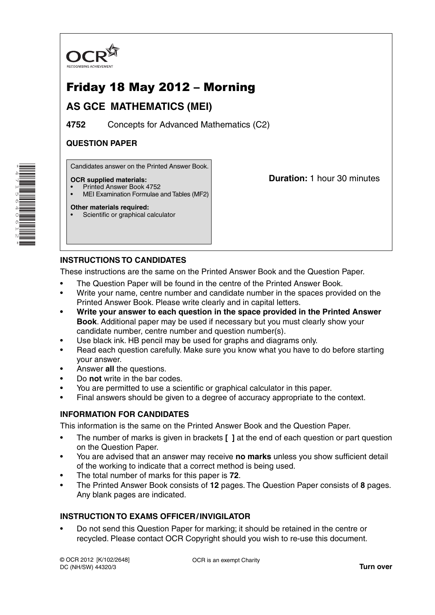

# Friday 18 May 2012 – Morning

## **AS GCE MATHEMATICS (MEI)**

**4752** Concepts for Advanced Mathematics (C2)

### **QUESTION PAPER**

Candidates answer on the Printed Answer Book.

#### **OCR supplied materials:**

- Printed Answer Book 4752
- MEI Examination Formulae and Tables (MF2)

## **Duration:** 1 hour 30 minutes

## Scientific or graphical calculator

**Other materials required:**

### **INSTRUCTIONS TO CANDIDATES**

These instructions are the same on the Printed Answer Book and the Question Paper.

- The Question Paper will be found in the centre of the Printed Answer Book.
- Write your name, centre number and candidate number in the spaces provided on the Printed Answer Book. Please write clearly and in capital letters.
- **Write your answer to each question in the space provided in the Printed Answer Book**. Additional paper may be used if necessary but you must clearly show your candidate number, centre number and question number(s).
- Use black ink. HB pencil may be used for graphs and diagrams only.
- Read each question carefully. Make sure you know what you have to do before starting your answer.
- Answer **all** the questions.
- Do **not** write in the bar codes.
- You are permitted to use a scientific or graphical calculator in this paper.
- Final answers should be given to a degree of accuracy appropriate to the context.

### **INFORMATION FOR CANDIDATES**

This information is the same on the Printed Answer Book and the Question Paper.

- The number of marks is given in brackets **[ ]** at the end of each question or part question on the Question Paper.
- You are advised that an answer may receive **no marks** unless you show sufficient detail of the working to indicate that a correct method is being used.
- The total number of marks for this paper is **72**.
- The Printed Answer Book consists of **12** pages. The Question Paper consists of **8** pages. Any blank pages are indicated.

### **INSTRUCTION TO EXAMS OFFICER / INVIGILATOR**

• Do not send this Question Paper for marking; it should be retained in the centre or recycled. Please contact OCR Copyright should you wish to re-use this document.

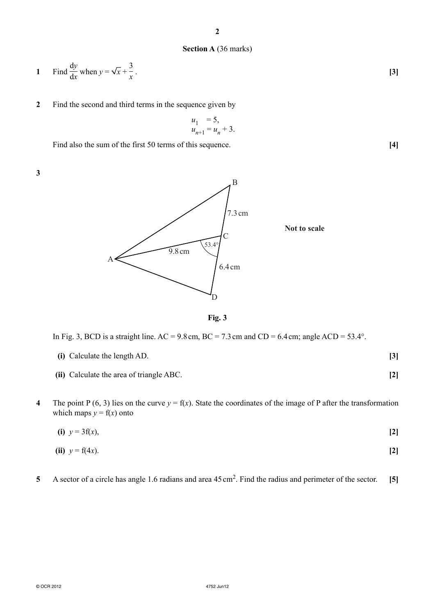#### **Section A** (36 marks)

1 Find 
$$
\frac{dy}{dx}
$$
 when  $y = \sqrt{x} + \frac{3}{x}$ . [3]

 $u_1$ 

**2** Find the second and third terms in the sequence given by

$$
u_1 = 5, u_{n+1} = u_n + 3.
$$

Find also the sum of the first 50 terms of this sequence. **[4]** 





**Fig. 3**

In Fig. 3, BCD is a straight line.  $AC = 9.8$  cm,  $BC = 7.3$  cm and  $CD = 6.4$  cm; angle  $ACD = 53.4$ °.

| (i) Calculate the length AD.             |  |
|------------------------------------------|--|
| (ii) Calculate the area of triangle ABC. |  |

**4** The point P (6, 3) lies on the curve  $y = f(x)$ . State the coordinates of the image of P after the transformation which maps  $y = f(x)$  onto

| (i) $y = 3f(x)$ , | $[2]$ |  |
|-------------------|-------|--|
|                   |       |  |

(ii) 
$$
y = f(4x)
$$
. [2]

**5** A sector of a circle has angle 1.6 radians and area 45 cm2. Find the radius and perimeter of the sector. **[5]**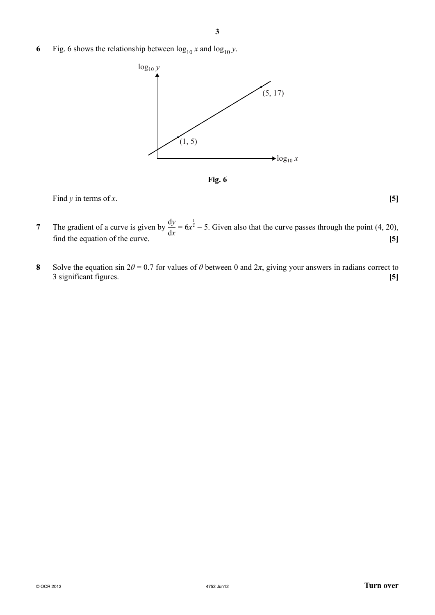**6** • Fig. 6 shows the relationship between  $\log_{10} x$  and  $\log_{10} y$ .





Find *y* in terms of *x*.  $[5]$ 

- **7** The gradient of a curve is given by  $\frac{dy}{dx} = 6x^{\frac{1}{2}} 5$ . Given also that the curve passes through the point (4, 20), find the equation of the curve. **[5]**
- **8** Solve the equation sin  $2\theta = 0.7$  for values of  $\theta$  between 0 and  $2\pi$ , giving your answers in radians correct to 3 significant figures. **[5]**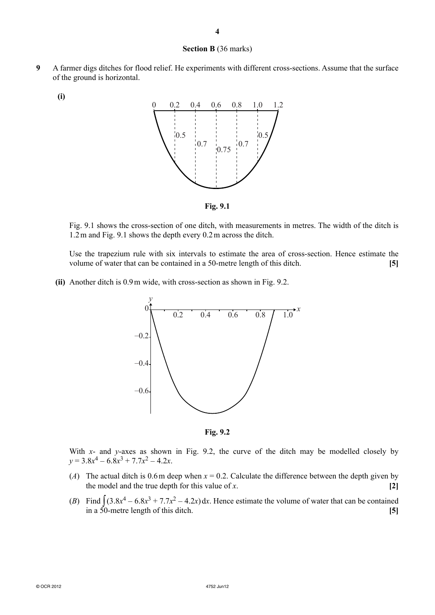#### **Section B** (36 marks)

**9** A farmer digs ditches for flood relief. He experiments with different cross-sections. Assume that the surface of the ground is horizontal.





Fig. 9.1 shows the cross-section of one ditch, with measurements in metres. The width of the ditch is 1.2 m and Fig. 9.1 shows the depth every 0.2 m across the ditch.

Use the trapezium rule with six intervals to estimate the area of cross-section. Hence estimate the volume of water that can be contained in a 50-metre length of this ditch. **[5]**

 **(ii)** Another ditch is 0.9 m wide, with cross-section as shown in Fig. 9.2.



**Fig. 9.2**

With *x*- and *y*-axes as shown in Fig. 9.2, the curve of the ditch may be modelled closely by  $y = 3.8x^{4} - 6.8x^{3} + 7.7x^{2} - 4.2x$ .

- (*A*) The actual ditch is 0.6 m deep when  $x = 0.2$ . Calculate the difference between the depth given by the model and the true depth for this value of *x*. **[2]**
- (*B*) Find  $\int (3.8x^4 6.8x^3 + 7.7x^2 4.2x) dx$ . Hence estimate the volume of water that can be contained in a 50-metre length of this ditch. in a 50-metre length of this ditch.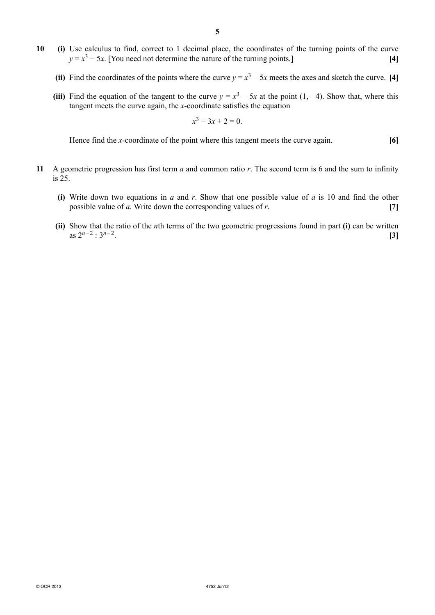- **10 (i)** Use calculus to find, correct to 1 decimal place, the coordinates of the turning points of the curve  $y = x^3 - 5x$ . [You need not determine the nature of the turning points.] [4]
	- **(ii)** Find the coordinates of the points where the curve  $y = x^3 5x$  meets the axes and sketch the curve. **[4]**
	- (iii) Find the equation of the tangent to the curve  $y = x^3 5x$  at the point (1, −4). Show that, where this tangent meets the curve again, the *x*-coordinate satisfies the equation

$$
x^3 - 3x + 2 = 0.
$$

Hence find the *x*-coordinate of the point where this tangent meets the curve again. **[6]**

- **11** A geometric progression has first term *a* and common ratio *r*. The second term is 6 and the sum to infinity is 25.
	- **(i)** Write down two equations in *a* and *r*. Show that one possible value of *a* is 10 and find the other possible value of *a.* Write down the corresponding values of *r*. **[7]**
	- **(ii)** Show that the ratio of the *n*th terms of the two geometric progressions found in part **(i)** can be written  $\text{as } 2^{n-2} : 3^{n-2}.$  [3]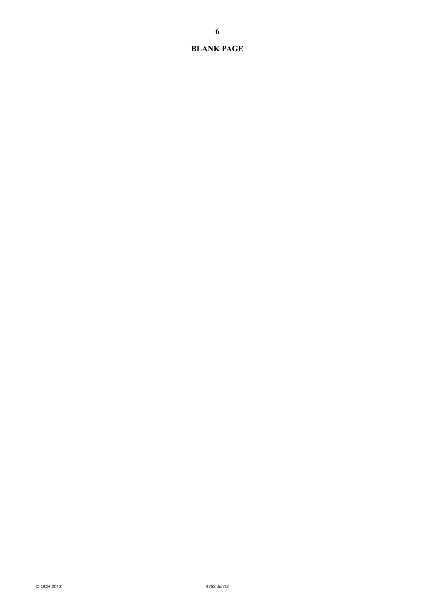#### **BLANK PAGE**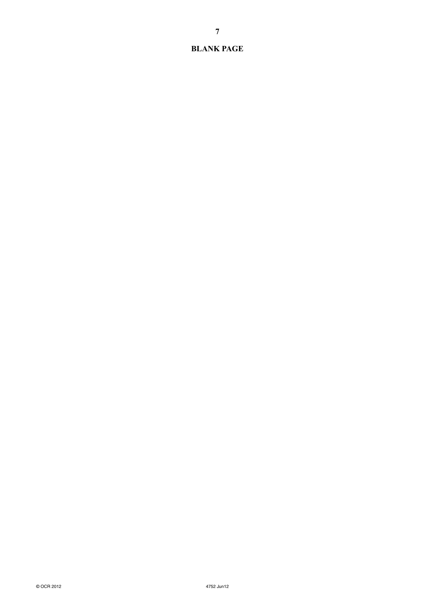#### **BLANK PAGE**